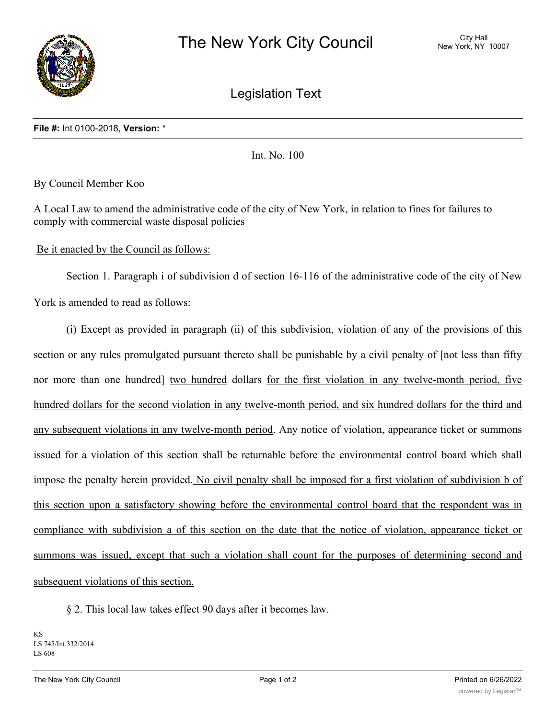

Legislation Text

## **File #:** Int 0100-2018, **Version:** \*

Int. No. 100

By Council Member Koo

A Local Law to amend the administrative code of the city of New York, in relation to fines for failures to comply with commercial waste disposal policies

## Be it enacted by the Council as follows:

Section 1. Paragraph i of subdivision d of section 16-116 of the administrative code of the city of New York is amended to read as follows:

(i) Except as provided in paragraph (ii) of this subdivision, violation of any of the provisions of this section or any rules promulgated pursuant thereto shall be punishable by a civil penalty of [not less than fifty nor more than one hundred] two hundred dollars for the first violation in any twelve-month period, five hundred dollars for the second violation in any twelve-month period, and six hundred dollars for the third and any subsequent violations in any twelve-month period. Any notice of violation, appearance ticket or summons issued for a violation of this section shall be returnable before the environmental control board which shall impose the penalty herein provided. No civil penalty shall be imposed for a first violation of subdivision b of this section upon a satisfactory showing before the environmental control board that the respondent was in compliance with subdivision a of this section on the date that the notice of violation, appearance ticket or summons was issued, except that such a violation shall count for the purposes of determining second and subsequent violations of this section.

§ 2. This local law takes effect 90 days after it becomes law.